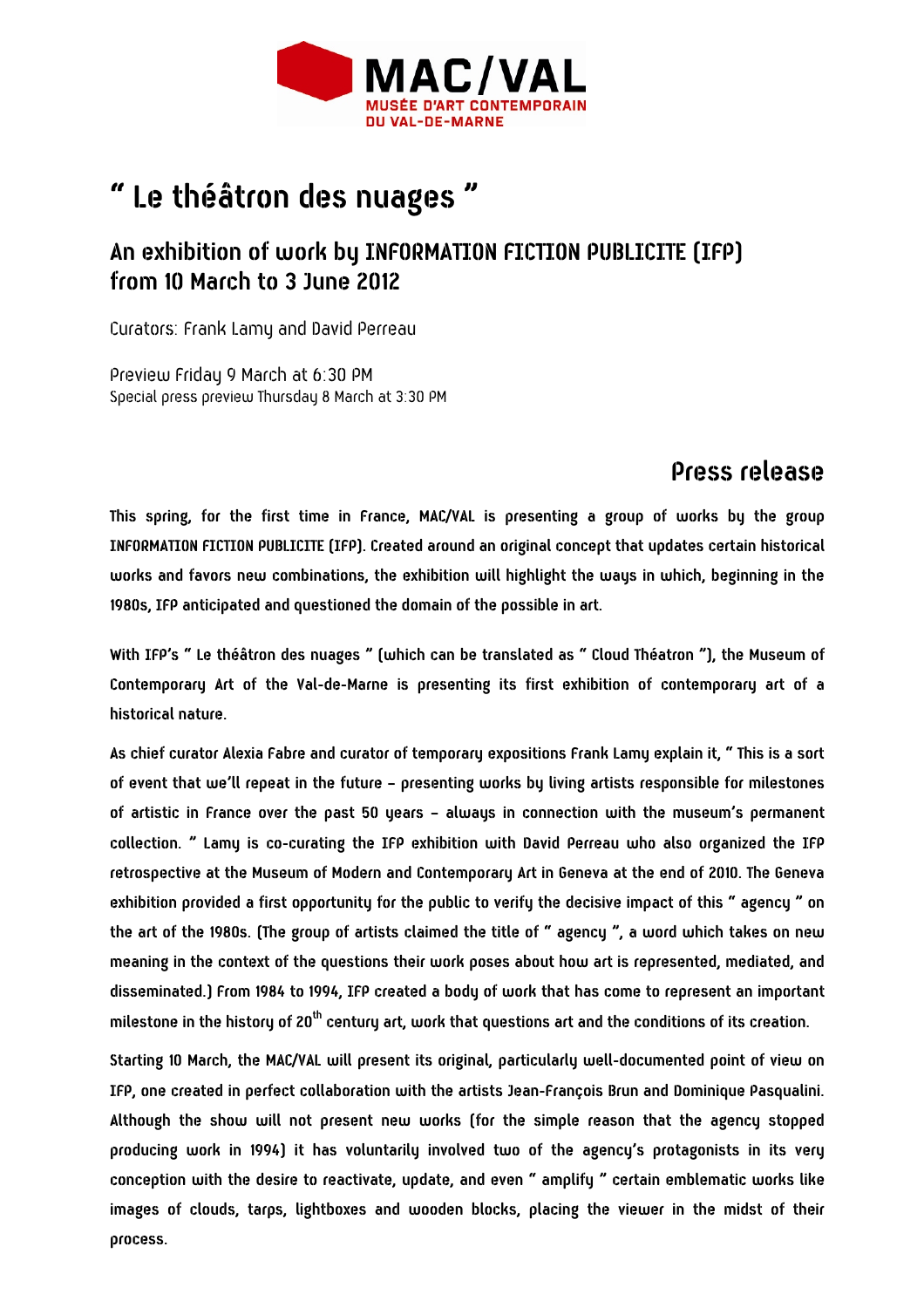

# **" Le théâtron des nuages "**

## **An exhibition of work by INFORMATION FICTION PUBLICITE (IFP) from 10 March to 3 June 2012**

Curators: Frank Lamy and David Perreau

Preview Friday 9 March at 6:30 PM Special press preview Thursday 8 March at 3:30 PM

## **Press release**

**This spring, for the first time in France, MAC/VAL is presenting a group of works by the group INFORMATION FICTION PUBLICITE (IFP). Created around an original concept that updates certain historical works and favors new combinations, the exhibition will highlight the ways in which, beginning in the 1980s, IFP anticipated and questioned the domain of the possible in art.** 

**With IFP's " Le théâtron des nuages " (which can be translated as " Cloud Théatron "), the Museum of Contemporary Art of the Val-de-Marne is presenting its first exhibition of contemporary art of a historical nature.** 

**As chief curator Alexia Fabre and curator of temporary expositions Frank Lamy explain it, " This is a sort of event that we'll repeat in the future – presenting works by living artists responsible for milestones of artistic in France over the past 50 years – always in connection with the museum's permanent collection. " Lamy is co-curating the IFP exhibition with David Perreau who also organized the IFP retrospective at the Museum of Modern and Contemporary Art in Geneva at the end of 2010. The Geneva exhibition provided a first opportunity for the public to verify the decisive impact of this " agency " on the art of the 1980s. (The group of artists claimed the title of " agency ", a word which takes on new meaning in the context of the questions their work poses about how art is represented, mediated, and disseminated.) From 1984 to 1994, IFP created a body of work that has come to represent an important milestone in the history of 20th century art, work that questions art and the conditions of its creation.** 

**Starting 10 March, the MAC/VAL will present its original, particularly well-documented point of view on IFP, one created in perfect collaboration with the artists Jean-François Brun and Dominique Pasqualini. Although the show will not present new works (for the simple reason that the agency stopped producing work in 1994) it has voluntarily involved two of the agency's protagonists in its very conception with the desire to reactivate, update, and even " amplify " certain emblematic works like images of clouds, tarps, lightboxes and wooden blocks, placing the viewer in the midst of their process.**